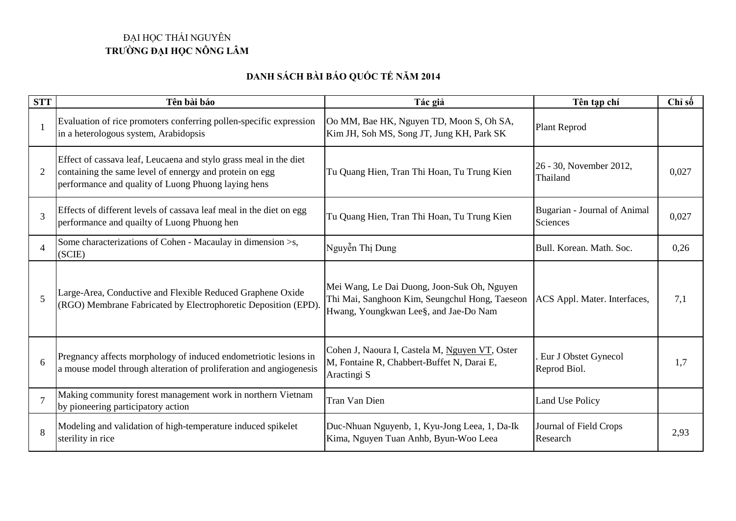## ĐẠI HỌC THÁI NGUYÊN **TRƯỜNG ĐẠI HỌC NÔNG LÂM**

## **DANH SÁCH BÀI BÁO QUỐC TẾ NĂM 2014**

| <b>STT</b>               | Tên bài báo                                                                                                                                                                         | Tác giả                                                                                                                                | Tên tạp chí                              | Chỉ số |
|--------------------------|-------------------------------------------------------------------------------------------------------------------------------------------------------------------------------------|----------------------------------------------------------------------------------------------------------------------------------------|------------------------------------------|--------|
| $\mathbf{1}$             | Evaluation of rice promoters conferring pollen-specific expression<br>in a heterologous system, Arabidopsis                                                                         | Oo MM, Bae HK, Nguyen TD, Moon S, Oh SA,<br>Kim JH, Soh MS, Song JT, Jung KH, Park SK                                                  | <b>Plant Reprod</b>                      |        |
| $\overline{2}$           | Effect of cassava leaf, Leucaena and stylo grass meal in the diet<br>containing the same level of ennergy and protein on egg<br>performance and quality of Luong Phuong laying hens | Tu Quang Hien, Tran Thi Hoan, Tu Trung Kien                                                                                            | 26 - 30, November 2012,<br>Thailand      | 0,027  |
| 3                        | Effects of different levels of cassava leaf meal in the diet on egg<br>performance and quailty of Luong Phuong hen                                                                  | Tu Quang Hien, Tran Thi Hoan, Tu Trung Kien                                                                                            | Bugarian - Journal of Animal<br>Sciences | 0,027  |
| $\overline{\mathcal{A}}$ | Some characterizations of Cohen - Macaulay in dimension >s,<br>(SCIE)                                                                                                               | Nguyễn Thị Dung                                                                                                                        | Bull. Korean. Math. Soc.                 | 0,26   |
| 5                        | Large-Area, Conductive and Flexible Reduced Graphene Oxide<br>(RGO) Membrane Fabricated by Electrophoretic Deposition (EPD)                                                         | Mei Wang, Le Dai Duong, Joon-Suk Oh, Nguyen<br>Thi Mai, Sanghoon Kim, Seungchul Hong, Taeseon<br>Hwang, Youngkwan Lee§, and Jae-Do Nam | ACS Appl. Mater. Interfaces,             | 7,1    |
| 6                        | Pregnancy affects morphology of induced endometriotic lesions in<br>a mouse model through alteration of proliferation and angiogenesis                                              | Cohen J, Naoura I, Castela M, Nguyen VT, Oster<br>M, Fontaine R, Chabbert-Buffet N, Darai E,<br>Aractingi S                            | Eur J Obstet Gynecol<br>Reprod Biol.     | 1,7    |
| $\overline{7}$           | Making community forest management work in northern Vietnam<br>by pioneering participatory action                                                                                   | Tran Van Dien                                                                                                                          | <b>Land Use Policy</b>                   |        |
| $\mathbf{8}$             | Modeling and validation of high-temperature induced spikelet<br>sterility in rice                                                                                                   | Duc-Nhuan Nguyenb, 1, Kyu-Jong Leea, 1, Da-Ik<br>Kima, Nguyen Tuan Anhb, Byun-Woo Leea                                                 | Journal of Field Crops<br>Research       | 2,93   |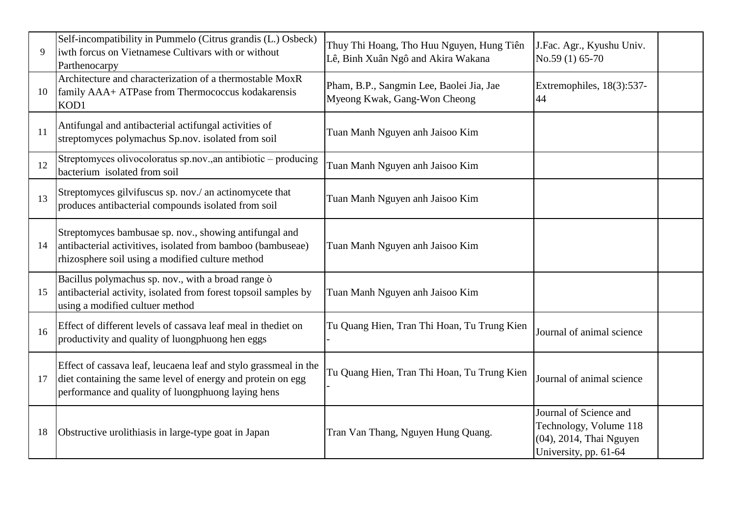| $\mathbf{Q}$ | Self-incompatibility in Pummelo (Citrus grandis (L.) Osbeck)<br>iwth forcus on Vietnamese Cultivars with or without<br>Parthenocarpy                                                  | Thuy Thi Hoang, Tho Huu Nguyen, Hung Tiên<br>Lê, Binh Xuân Ngô and Akira Wakana | J.Fac. Agr., Kyushu Univ.<br>No.59 (1) 65-70                                                         |
|--------------|---------------------------------------------------------------------------------------------------------------------------------------------------------------------------------------|---------------------------------------------------------------------------------|------------------------------------------------------------------------------------------------------|
| 10           | Architecture and characterization of a thermostable MoxR<br>family AAA+ ATPase from Thermococcus kodakarensis<br>KOD1                                                                 | Pham, B.P., Sangmin Lee, Baolei Jia, Jae<br>Myeong Kwak, Gang-Won Cheong        | Extremophiles, 18(3):537-<br>44                                                                      |
| 11           | Antifungal and antibacterial actifungal activities of<br>streptomyces polymachus Sp.nov. isolated from soil                                                                           | Tuan Manh Nguyen anh Jaisoo Kim                                                 |                                                                                                      |
| 12           | Streptomyces olivocoloratus sp.nov., an antibiotic - producing<br>bacterium isolated from soil                                                                                        | Tuan Manh Nguyen anh Jaisoo Kim                                                 |                                                                                                      |
| 13           | Streptomyces gilvifuscus sp. nov./ an actinomycete that<br>produces antibacterial compounds isolated from soil                                                                        | Tuan Manh Nguyen anh Jaisoo Kim                                                 |                                                                                                      |
| 14           | Streptomyces bambusae sp. nov., showing antifungal and<br>antibacterial activitives, isolated from bamboo (bambuseae)<br>rhizosphere soil using a modified culture method             | Tuan Manh Nguyen anh Jaisoo Kim                                                 |                                                                                                      |
| 15           | Bacillus polymachus sp. nov., with a broad range ò<br>antibacterial activity, isolated from forest topsoil samples by<br>using a modified cultuer method                              | Tuan Manh Nguyen anh Jaisoo Kim                                                 |                                                                                                      |
| 16           | Effect of different levels of cassava leaf meal in thediet on<br>productivity and quality of luongphuong hen eggs                                                                     | Tu Quang Hien, Tran Thi Hoan, Tu Trung Kien                                     | Journal of animal science                                                                            |
| 17           | Effect of cassava leaf, leucaena leaf and stylo grassmeal in the<br>diet containing the same level of energy and protein on egg<br>performance and quality of luongphuong laying hens | Tu Quang Hien, Tran Thi Hoan, Tu Trung Kien                                     | Journal of animal science                                                                            |
| 18           | Obstructive urolithiasis in large-type goat in Japan                                                                                                                                  | Tran Van Thang, Nguyen Hung Quang.                                              | Journal of Science and<br>Technology, Volume 118<br>(04), 2014, Thai Nguyen<br>University, pp. 61-64 |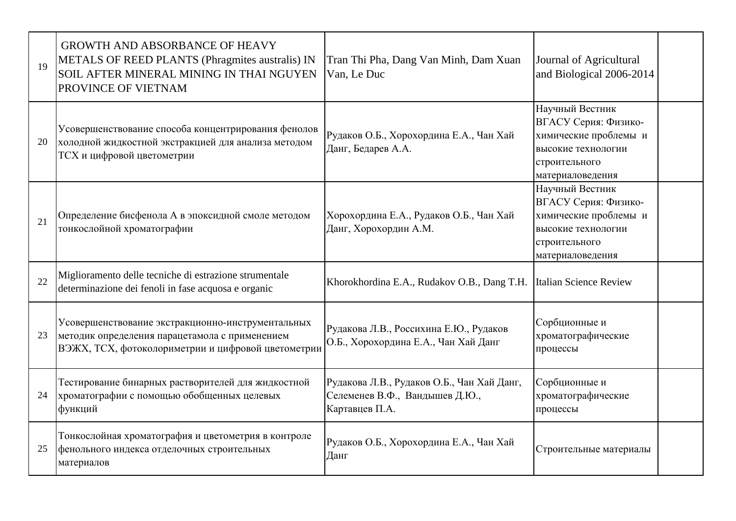| 19 | <b>GROWTH AND ABSORBANCE OF HEAVY</b><br>METALS OF REED PLANTS (Phragmites australis) IN<br>SOIL AFTER MINERAL MINING IN THAI NGUYEN<br>PROVINCE OF VIETNAM | Tran Thi Pha, Dang Van Minh, Dam Xuan<br>Van, Le Duc                                           | Journal of Agricultural<br>and Biological 2006-2014                                                                         |  |
|----|-------------------------------------------------------------------------------------------------------------------------------------------------------------|------------------------------------------------------------------------------------------------|-----------------------------------------------------------------------------------------------------------------------------|--|
| 20 | Усовершенствование способа концентрирования фенолов<br>холодной жидкостной экстракцией для анализа методом<br>ТСХ и цифровой цветометрии                    | Рудаков О.Б., Хорохордина Е.А., Чан Хай<br>Данг, Бедарев А.А.                                  | Научный Вестник<br>ВГАСУ Серия: Физико-<br>химические проблемы и<br>высокие технологии<br>строительного<br>материаловедения |  |
| 21 | Определение бисфенола А в эпоксидной смоле методом<br>тонкослойной хроматографии                                                                            | Хорохордина Е.А., Рудаков О.Б., Чан Хай<br>Данг, Хорохордин А.М.                               | Научный Вестник<br>ВГАСУ Серия: Физико-<br>химические проблемы и<br>высокие технологии<br>строительного<br>материаловедения |  |
| 22 | Miglioramento delle tecniche di estrazione strumentale<br>determinazione dei fenoli in fase acquosa e organic                                               | Khorokhordina E.A., Rudakov O.B., Dang T.H.                                                    | Italian Science Review                                                                                                      |  |
| 23 | Усовершенствование экстракционно-инструментальных<br>методик определения парацетамола с применением<br>ВЭЖХ, ТСХ, фотоколориметрии и цифровой цветометрии   | Рудакова Л.В., Россихина Е.Ю., Рудаков<br>О.Б., Хорохордина Е.А., Чан Хай Данг                 | Сорбционные и<br>хроматографические<br>процессы                                                                             |  |
| 24 | Тестирование бинарных растворителей для жидкостной<br>хроматографии с помощью обобщенных целевых<br>функций                                                 | Рудакова Л.В., Рудаков О.Б., Чан Хай Данг,<br>Селеменев В.Ф., Вандышев Д.Ю.,<br>Картавцев П.А. | Сорбционные и<br>хроматографические<br>процессы                                                                             |  |
| 25 | Тонкослойная хроматография и цветометрия в контроле<br>фенольного индекса отделочных строительных<br>материалов                                             | Рудаков О.Б., Хорохордина Е.А., Чан Хай<br>Данг                                                | Строительные материалы                                                                                                      |  |